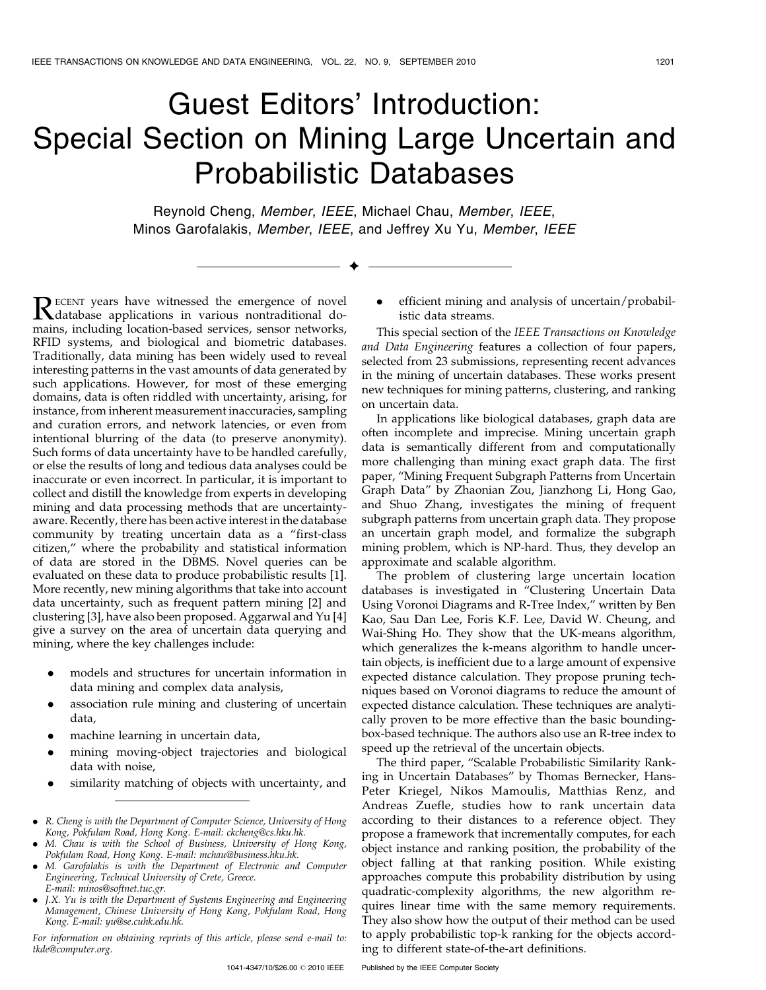## Guest Editors' Introduction: Special Section on Mining Large Uncertain and Probabilistic Databases

Reynold Cheng, Member, IEEE, Michael Chau, Member, IEEE, Minos Garofalakis, Member, IEEE, and Jeffrey Xu Yu, Member, IEEE

 $\ddotmark$ 

RECENT years have witnessed the emergence of novel<br>database applications in various nontraditional do-<br>mains including location based services conservatively mains, including location-based services, sensor networks, RFID systems, and biological and biometric databases. Traditionally, data mining has been widely used to reveal interesting patterns in the vast amounts of data generated by such applications. However, for most of these emerging domains, data is often riddled with uncertainty, arising, for instance, from inherent measurement inaccuracies, sampling and curation errors, and network latencies, or even from intentional blurring of the data (to preserve anonymity). Such forms of data uncertainty have to be handled carefully, or else the results of long and tedious data analyses could be inaccurate or even incorrect. In particular, it is important to collect and distill the knowledge from experts in developing mining and data processing methods that are uncertaintyaware. Recently, there has been active interest in the database community by treating uncertain data as a "first-class citizen," where the probability and statistical information of data are stored in the DBMS. Novel queries can be evaluated on these data to produce probabilistic results [1]. More recently, new mining algorithms that take into account data uncertainty, such as frequent pattern mining [2] and clustering [3], have also been proposed. Aggarwal and Yu [4] give a survey on the area of uncertain data querying and mining, where the key challenges include:

- . models and structures for uncertain information in data mining and complex data analysis,
- . association rule mining and clustering of uncertain data,
- . machine learning in uncertain data,
- . mining moving-object trajectories and biological data with noise,
- . similarity matching of objects with uncertainty, and

- . M. Chau is with the School of Business, University of Hong Kong, Pokfulam Road, Hong Kong. E-mail: mchau@business.hku.hk.
- . M. Garofalakis is with the Department of Electronic and Computer Engineering, Technical University of Crete, Greece. E-mail: minos@softnet.tuc.gr.
- . J.X. Yu is with the Department of Systems Engineering and Engineering Management, Chinese University of Hong Kong, Pokfulam Road, Hong Kong. E-mail: yu@se.cuhk.edu.hk.

For information on obtaining reprints of this article, please send e-mail to: tkde@computer.org.

. efficient mining and analysis of uncertain/probabilistic data streams.

This special section of the IEEE Transactions on Knowledge and Data Engineering features a collection of four papers, selected from 23 submissions, representing recent advances in the mining of uncertain databases. These works present new techniques for mining patterns, clustering, and ranking on uncertain data.

In applications like biological databases, graph data are often incomplete and imprecise. Mining uncertain graph data is semantically different from and computationally more challenging than mining exact graph data. The first paper, "Mining Frequent Subgraph Patterns from Uncertain Graph Data" by Zhaonian Zou, Jianzhong Li, Hong Gao, and Shuo Zhang, investigates the mining of frequent subgraph patterns from uncertain graph data. They propose an uncertain graph model, and formalize the subgraph mining problem, which is NP-hard. Thus, they develop an approximate and scalable algorithm.

The problem of clustering large uncertain location databases is investigated in "Clustering Uncertain Data Using Voronoi Diagrams and R-Tree Index," written by Ben Kao, Sau Dan Lee, Foris K.F. Lee, David W. Cheung, and Wai-Shing Ho. They show that the UK-means algorithm, which generalizes the k-means algorithm to handle uncertain objects, is inefficient due to a large amount of expensive expected distance calculation. They propose pruning techniques based on Voronoi diagrams to reduce the amount of expected distance calculation. These techniques are analytically proven to be more effective than the basic boundingbox-based technique. The authors also use an R-tree index to speed up the retrieval of the uncertain objects.

The third paper, "Scalable Probabilistic Similarity Ranking in Uncertain Databases" by Thomas Bernecker, Hans-Peter Kriegel, Nikos Mamoulis, Matthias Renz, and Andreas Zuefle, studies how to rank uncertain data according to their distances to a reference object. They propose a framework that incrementally computes, for each object instance and ranking position, the probability of the object falling at that ranking position. While existing approaches compute this probability distribution by using quadratic-complexity algorithms, the new algorithm requires linear time with the same memory requirements. They also show how the output of their method can be used to apply probabilistic top-k ranking for the objects according to different state-of-the-art definitions.

<sup>.</sup> R. Cheng is with the Department of Computer Science, University of Hong Kong, Pokfulam Road, Hong Kong. E-mail: ckcheng@cs.hku.hk.